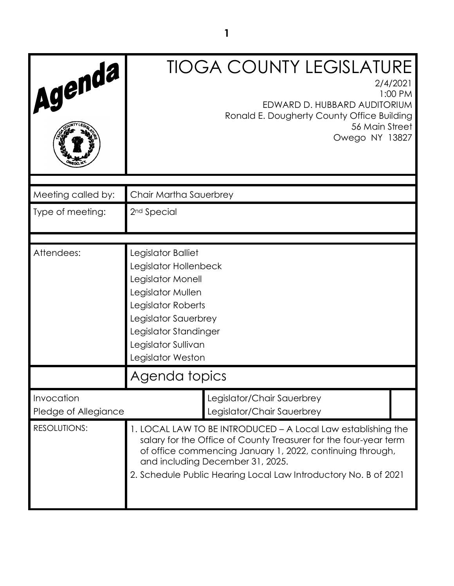| Agenda                             |                                                                                                                                                                                                                                                                                                      | <b>TIOGA COUNTY LEGISLATURE</b><br>EDWARD D. HUBBARD AUDITORIUM<br>Ronald E. Dougherty County Office Building<br>56 Main Street<br>Owego NY 13827 | 2/4/2021<br>1:00 PM |
|------------------------------------|------------------------------------------------------------------------------------------------------------------------------------------------------------------------------------------------------------------------------------------------------------------------------------------------------|---------------------------------------------------------------------------------------------------------------------------------------------------|---------------------|
| Meeting called by:                 | Chair Martha Sauerbrey                                                                                                                                                                                                                                                                               |                                                                                                                                                   |                     |
| Type of meeting:                   | 2 <sup>nd</sup> Special                                                                                                                                                                                                                                                                              |                                                                                                                                                   |                     |
| Attendees:                         | Legislator Balliet<br>Legislator Hollenbeck<br>Legislator Monell<br>Legislator Mullen<br>Legislator Roberts<br>Legislator Sauerbrey<br>Legislator Standinger<br>Legislator Sullivan<br>Legislator Weston                                                                                             |                                                                                                                                                   |                     |
|                                    | Agenda topics                                                                                                                                                                                                                                                                                        |                                                                                                                                                   |                     |
| Invocation<br>Pledge of Allegiance |                                                                                                                                                                                                                                                                                                      | Legislator/Chair Sauerbrey<br>Legislator/Chair Sauerbrey                                                                                          |                     |
| <b>RESOLUTIONS:</b>                | 1. LOCAL LAW TO BE INTRODUCED - A Local Law establishing the<br>salary for the Office of County Treasurer for the four-year term<br>of office commencing January 1, 2022, continuing through,<br>and including December 31, 2025.<br>2. Schedule Public Hearing Local Law Introductory No. B of 2021 |                                                                                                                                                   |                     |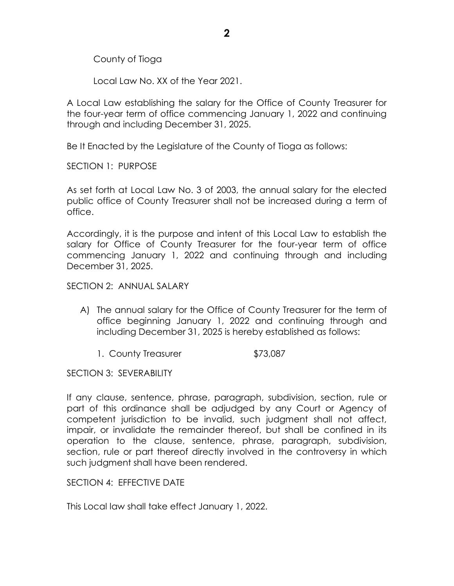County of Tioga

Local Law No. XX of the Year 2021.

A Local Law establishing the salary for the Office of County Treasurer for the four-year term of office commencing January 1, 2022 and continuing through and including December 31, 2025.

Be It Enacted by the Legislature of the County of Tioga as follows:

SECTION 1: PURPOSE

As set forth at Local Law No. 3 of 2003, the annual salary for the elected public office of County Treasurer shall not be increased during a term of office.

Accordingly, it is the purpose and intent of this Local Law to establish the salary for Office of County Treasurer for the four-year term of office commencing January 1, 2022 and continuing through and including December 31, 2025.

## SECTION 2: ANNUAL SALARY

- A) The annual salary for the Office of County Treasurer for the term of office beginning January 1, 2022 and continuing through and including December 31, 2025 is hereby established as follows:
	- 1. County Treasurer \$73,087

SECTION 3: SEVERABILITY

If any clause, sentence, phrase, paragraph, subdivision, section, rule or part of this ordinance shall be adjudged by any Court or Agency of competent jurisdiction to be invalid, such judgment shall not affect, impair, or invalidate the remainder thereof, but shall be confined in its operation to the clause, sentence, phrase, paragraph, subdivision, section, rule or part thereof directly involved in the controversy in which such judgment shall have been rendered.

SECTION 4: EFFECTIVE DATE

This Local law shall take effect January 1, 2022.